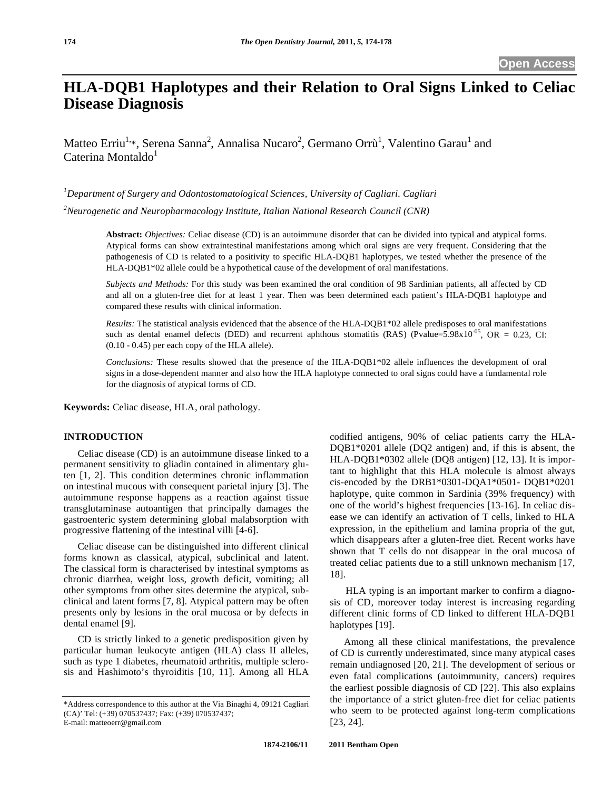# **HLA-DQB1 Haplotypes and their Relation to Oral Signs Linked to Celiac Disease Diagnosis**

Matteo Erriu<sup>1,\*</sup>, Serena Sanna<sup>2</sup>, Annalisa Nucaro<sup>2</sup>, Germano Orrù<sup>1</sup>, Valentino Garau<sup>1</sup> and Caterina Montaldo $^1$ 

*1 Department of Surgery and Odontostomatological Sciences, University of Cagliari. Cagliari* 

*2 Neurogenetic and Neuropharmacology Institute, Italian National Research Council (CNR)* 

**Abstract:** *Objectives:* Celiac disease (CD) is an autoimmune disorder that can be divided into typical and atypical forms. Atypical forms can show extraintestinal manifestations among which oral signs are very frequent. Considering that the pathogenesis of CD is related to a positivity to specific HLA-DQB1 haplotypes, we tested whether the presence of the HLA-DQB1\*02 allele could be a hypothetical cause of the development of oral manifestations.

*Subjects and Methods:* For this study was been examined the oral condition of 98 Sardinian patients, all affected by CD and all on a gluten-free diet for at least 1 year. Then was been determined each patient's HLA-DQB1 haplotype and compared these results with clinical information.

*Results:* The statistical analysis evidenced that the absence of the HLA-DQB1\*02 allele predisposes to oral manifestations such as dental enamel defects (DED) and recurrent aphthous stomatitis (RAS) (Pvalue=5.98x10<sup>-05</sup>, OR = 0.23, CI: (0.10 - 0.45) per each copy of the HLA allele).

*Conclusions:* These results showed that the presence of the HLA-DQB1\*02 allele influences the development of oral signs in a dose-dependent manner and also how the HLA haplotype connected to oral signs could have a fundamental role for the diagnosis of atypical forms of CD.

**Keywords:** Celiac disease, HLA, oral pathology.

## **INTRODUCTION**

Celiac disease (CD) is an autoimmune disease linked to a permanent sensitivity to gliadin contained in alimentary gluten [1, 2]. This condition determines chronic inflammation on intestinal mucous with consequent parietal injury [3]. The autoimmune response happens as a reaction against tissue transglutaminase autoantigen that principally damages the gastroenteric system determining global malabsorption with progressive flattening of the intestinal villi [4-6].

Celiac disease can be distinguished into different clinical forms known as classical, atypical, subclinical and latent. The classical form is characterised by intestinal symptoms as chronic diarrhea, weight loss, growth deficit, vomiting; all other symptoms from other sites determine the atypical, subclinical and latent forms [7, 8]. Atypical pattern may be often presents only by lesions in the oral mucosa or by defects in dental enamel [9].

CD is strictly linked to a genetic predisposition given by particular human leukocyte antigen (HLA) class II alleles, such as type 1 diabetes, rheumatoid arthritis, multiple sclerosis and Hashimoto's thyroiditis [10, 11]. Among all HLA codified antigens, 90% of celiac patients carry the HLA-DQB1\*0201 allele (DQ2 antigen) and, if this is absent, the HLA-DQB1\*0302 allele (DQ8 antigen) [12, 13]. It is important to highlight that this HLA molecule is almost always cis-encoded by the DRB1\*0301-DQA1\*0501- DQB1\*0201 haplotype, quite common in Sardinia (39% frequency) with one of the world's highest frequencies [13-16]. In celiac disease we can identify an activation of T cells, linked to HLA expression, in the epithelium and lamina propria of the gut, which disappears after a gluten-free diet. Recent works have shown that T cells do not disappear in the oral mucosa of treated celiac patients due to a still unknown mechanism [17, 18].

HLA typing is an important marker to confirm a diagnosis of CD, moreover today interest is increasing regarding different clinic forms of CD linked to different HLA-DQB1 haplotypes [19].

Among all these clinical manifestations, the prevalence of CD is currently underestimated, since many atypical cases remain undiagnosed [20, 21]. The development of serious or even fatal complications (autoimmunity, cancers) requires the earliest possible diagnosis of CD [22]. This also explains the importance of a strict gluten-free diet for celiac patients who seem to be protected against long-term complications [23, 24].

<sup>\*</sup>Address correspondence to this author at the Via Binaghi 4, 09121 Cagliari (CA)' Tel: (+39) 070537437; Fax: (+39) 070537437; E-mail: matteoerr@gmail.com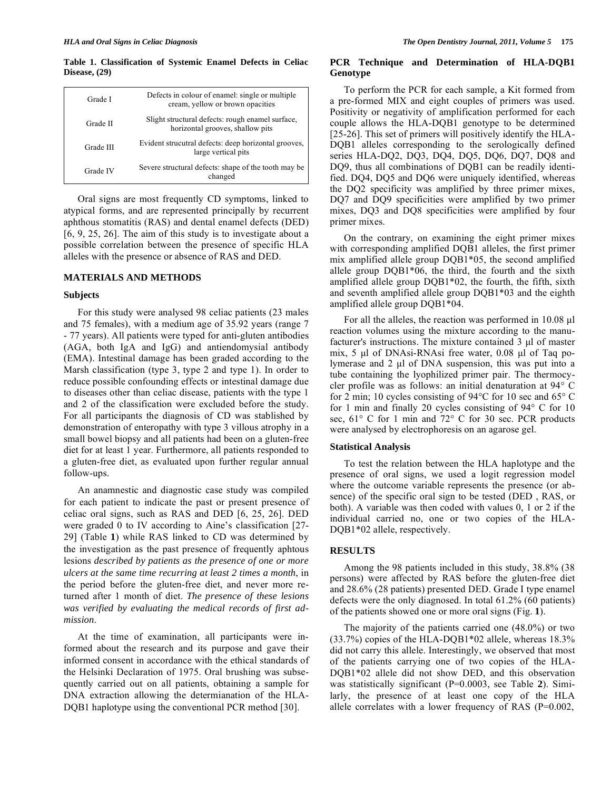**Table 1. Classification of Systemic Enamel Defects in Celiac Disease, (29)** 

| Grade I   | Defects in colour of enamel: single or multiple<br>cream, yellow or brown opacities  |
|-----------|--------------------------------------------------------------------------------------|
| Grade II  | Slight structural defects: rough enamel surface,<br>horizontal grooves, shallow pits |
| Grade III | Evident strucutral defects: deep horizontal grooves,<br>large vertical pits          |
| Grade IV  | Severe structural defects: shape of the tooth may be<br>changed                      |

Oral signs are most frequently CD symptoms, linked to atypical forms, and are represented principally by recurrent aphthous stomatitis (RAS) and dental enamel defects (DED) [6, 9, 25, 26]. The aim of this study is to investigate about a possible correlation between the presence of specific HLA alleles with the presence or absence of RAS and DED.

## **MATERIALS AND METHODS**

### **Subjects**

For this study were analysed 98 celiac patients (23 males and 75 females), with a medium age of 35.92 years (range 7 - 77 years). All patients were typed for anti-gluten antibodies (AGA, both IgA and IgG) and antiendomysial antibody (EMA). Intestinal damage has been graded according to the Marsh classification (type 3, type 2 and type 1). In order to reduce possible confounding effects or intestinal damage due to diseases other than celiac disease, patients with the type 1 and 2 of the classification were excluded before the study. For all participants the diagnosis of CD was stablished by demonstration of enteropathy with type 3 villous atrophy in a small bowel biopsy and all patients had been on a gluten-free diet for at least 1 year. Furthermore, all patients responded to a gluten-free diet, as evaluated upon further regular annual follow-ups.

An anamnestic and diagnostic case study was compiled for each patient to indicate the past or present presence of celiac oral signs, such as RAS and DED [6, 25, 26]. DED were graded 0 to IV according to Aine's classification [27- 29] (Table **1**) while RAS linked to CD was determined by the investigation as the past presence of frequently aphtous lesions *described by patients as the presence of one or more ulcers at the same time recurring at least 2 times a month*, in the period before the gluten-free diet, and never more returned after 1 month of diet. *The presence of these lesions was verified by evaluating the medical records of first admission*.

At the time of examination, all participants were informed about the research and its purpose and gave their informed consent in accordance with the ethical standards of the Helsinki Declaration of 1975. Oral brushing was subsequently carried out on all patients, obtaining a sample for DNA extraction allowing the determianation of the HLA-DQB1 haplotype using the conventional PCR method [30].

## **PCR Technique and Determination of HLA-DQB1 Genotype**

To perform the PCR for each sample, a Kit formed from a pre-formed MIX and eight couples of primers was used. Positivity or negativity of amplification performed for each couple allows the HLA-DQB1 genotype to be determined [25-26]. This set of primers will positively identify the HLA-DQB1 alleles corresponding to the serologically defined series HLA-DQ2, DQ3, DQ4, DQ5, DQ6, DQ7, DQ8 and DQ9, thus all combinations of DQB1 can be readily identified. DQ4, DQ5 and DQ6 were uniquely identified, whereas the DQ2 specificity was amplified by three primer mixes, DQ7 and DQ9 specificities were amplified by two primer mixes, DQ3 and DQ8 specificities were amplified by four primer mixes.

On the contrary, on examining the eight primer mixes with corresponding amplified DQB1 alleles, the first primer mix amplified allele group DQB1\*05, the second amplified allele group DQB1\*06, the third, the fourth and the sixth amplified allele group DQB1\*02, the fourth, the fifth, sixth and seventh amplified allele group DQB1\*03 and the eighth amplified allele group DQB1\*04.

For all the alleles, the reaction was performed in 10.08 μl reaction volumes using the mixture according to the manufacturer's instructions. The mixture contained 3 μl of master mix, 5 μl of DNAsi-RNAsi free water, 0.08 μl of Taq polymerase and 2 μl of DNA suspension, this was put into a tube containing the lyophilized primer pair. The thermocycler profile was as follows: an initial denaturation at 94° C for 2 min; 10 cycles consisting of 94°C for 10 sec and 65° C for 1 min and finally 20 cycles consisting of 94° C for 10 sec, 61° C for 1 min and 72° C for 30 sec. PCR products were analysed by electrophoresis on an agarose gel.

#### **Statistical Analysis**

To test the relation between the HLA haplotype and the presence of oral signs, we used a logit regression model where the outcome variable represents the presence (or absence) of the specific oral sign to be tested (DED , RAS, or both). A variable was then coded with values 0, 1 or 2 if the individual carried no, one or two copies of the HLA-DQB1\*02 allele, respectively.

#### **RESULTS**

Among the 98 patients included in this study, 38.8% (38 persons) were affected by RAS before the gluten-free diet and 28.6% (28 patients) presented DED. Grade I type enamel defects were the only diagnosed. In total 61.2% (60 patients) of the patients showed one or more oral signs (Fig. **1**).

The majority of the patients carried one (48.0%) or two (33.7%) copies of the HLA-DQB1\*02 allele, whereas 18.3% did not carry this allele. Interestingly, we observed that most of the patients carrying one of two copies of the HLA-DQB1\*02 allele did not show DED, and this observation was statistically significant (P=0.0003, see Table **2**). Similarly, the presence of at least one copy of the HLA allele correlates with a lower frequency of RAS (P=0.002,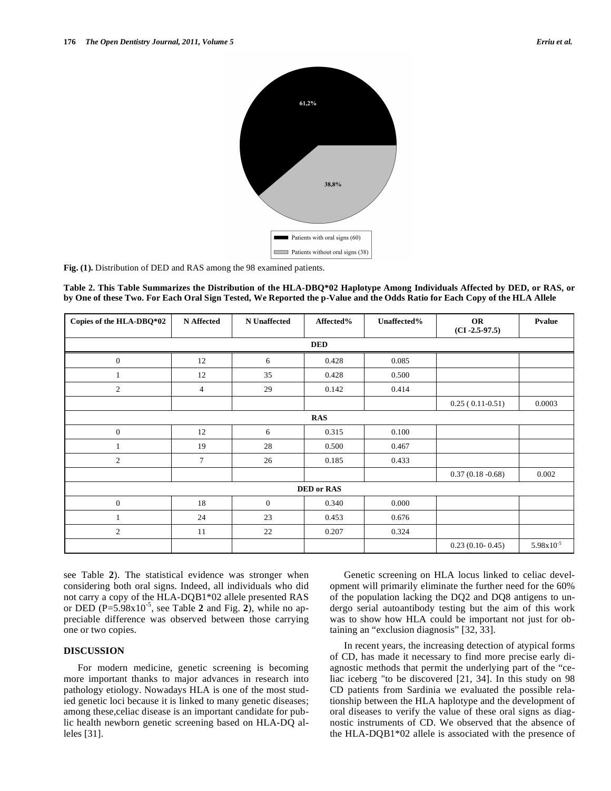

**Fig. (1).** Distribution of DED and RAS among the 98 examined patients.

**Table 2. This Table Summarizes the Distribution of the HLA-DBQ\*02 Haplotype Among Individuals Affected by DED, or RAS, or by One of these Two. For Each Oral Sign Tested, We Reported the p-Value and the Odds Ratio for Each Copy of the HLA Allele** 

| Copies of the HLA-DBQ*02 | <b>N</b> Affected | <b>N</b> Unaffected | Affected% | Unaffected% | <b>OR</b><br>$(CI - 2.5 - 97.5)$ | Pvalue         |  |  |
|--------------------------|-------------------|---------------------|-----------|-------------|----------------------------------|----------------|--|--|
| <b>DED</b>               |                   |                     |           |             |                                  |                |  |  |
| $\mathbf{0}$             | 12                | 6                   | 0.428     | 0.085       |                                  |                |  |  |
|                          | 12                | 35                  | 0.428     | 0.500       |                                  |                |  |  |
| $\overline{2}$           | 4                 | 29                  | 0.142     | 0.414       |                                  |                |  |  |
|                          |                   |                     |           |             | $0.25(0.11-0.51)$                | 0.0003         |  |  |
| <b>RAS</b>               |                   |                     |           |             |                                  |                |  |  |
| $\mathbf{0}$             | 12                | 6                   | 0.315     | 0.100       |                                  |                |  |  |
|                          | 19                | 28                  | 0.500     | 0.467       |                                  |                |  |  |
| 2                        | $\tau$            | 26                  | 0.185     | 0.433       |                                  |                |  |  |
|                          |                   |                     |           |             | $0.37(0.18 - 0.68)$              | 0.002          |  |  |
| <b>DED</b> or RAS        |                   |                     |           |             |                                  |                |  |  |
| $\mathbf{0}$             | 18                | $\overline{0}$      | 0.340     | 0.000       |                                  |                |  |  |
| 1                        | 24                | 23                  | 0.453     | 0.676       |                                  |                |  |  |
| $\overline{2}$           | 11                | 22                  | 0.207     | 0.324       |                                  |                |  |  |
|                          |                   |                     |           |             | $0.23(0.10-0.45)$                | $5.98x10^{-5}$ |  |  |

see Table **2**). The statistical evidence was stronger when considering both oral signs. Indeed, all individuals who did not carry a copy of the HLA-DQB1\*02 allele presented RAS or DED  $(P=5.98x10^{-5}$ , see Table 2 and Fig. 2), while no appreciable difference was observed between those carrying one or two copies.

## **DISCUSSION**

For modern medicine, genetic screening is becoming more important thanks to major advances in research into pathology etiology. Nowadays HLA is one of the most studied genetic loci because it is linked to many genetic diseases; among these,celiac disease is an important candidate for public health newborn genetic screening based on HLA-DQ alleles [31].

Genetic screening on HLA locus linked to celiac development will primarily eliminate the further need for the 60% of the population lacking the DQ2 and DQ8 antigens to undergo serial autoantibody testing but the aim of this work was to show how HLA could be important not just for obtaining an "exclusion diagnosis" [32, 33].

In recent years, the increasing detection of atypical forms of CD, has made it necessary to find more precise early diagnostic methods that permit the underlying part of the "celiac iceberg "to be discovered [21, 34]. In this study on 98 CD patients from Sardinia we evaluated the possible relationship between the HLA haplotype and the development of oral diseases to verify the value of these oral signs as diagnostic instruments of CD. We observed that the absence of the HLA-DQB1\*02 allele is associated with the presence of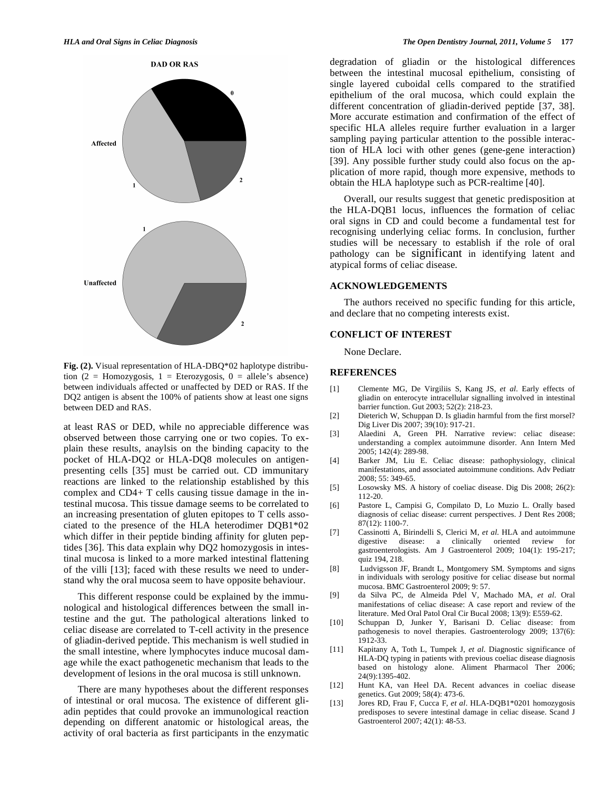

**Fig. (2).** Visual representation of HLA-DBQ\*02 haplotype distribution (2 = Homozygosis, 1 = Eterozygosis, 0 = allele's absence) between individuals affected or unaffected by DED or RAS. If the DQ2 antigen is absent the 100% of patients show at least one signs between DED and RAS.

at least RAS or DED, while no appreciable difference was observed between those carrying one or two copies. To explain these results, anaylsis on the binding capacity to the pocket of HLA-DQ2 or HLA-DQ8 molecules on antigenpresenting cells [35] must be carried out. CD immunitary reactions are linked to the relationship established by this complex and CD4+ T cells causing tissue damage in the intestinal mucosa. This tissue damage seems to be correlated to an increasing presentation of gluten epitopes to T cells associated to the presence of the HLA heterodimer DQB1\*02 which differ in their peptide binding affinity for gluten peptides [36]. This data explain why DQ2 homozygosis in intestinal mucosa is linked to a more marked intestinal flattening of the villi [13]; faced with these results we need to understand why the oral mucosa seem to have opposite behaviour.

This different response could be explained by the immunological and histological differences between the small intestine and the gut. The pathological alterations linked to celiac disease are correlated to T-cell activity in the presence of gliadin-derived peptide. This mechanism is well studied in the small intestine, where lymphocytes induce mucosal damage while the exact pathogenetic mechanism that leads to the development of lesions in the oral mucosa is still unknown.

There are many hypotheses about the different responses of intestinal or oral mucosa. The existence of different gliadin peptides that could provoke an immunological reaction depending on different anatomic or histological areas, the activity of oral bacteria as first participants in the enzymatic

degradation of gliadin or the histological differences between the intestinal mucosal epithelium, consisting of single layered cuboidal cells compared to the stratified epithelium of the oral mucosa, which could explain the different concentration of gliadin-derived peptide [37, 38]. More accurate estimation and confirmation of the effect of specific HLA alleles require further evaluation in a larger sampling paying particular attention to the possible interaction of HLA loci with other genes (gene-gene interaction) [39]. Any possible further study could also focus on the application of more rapid, though more expensive, methods to obtain the HLA haplotype such as PCR-realtime [40].

Overall, our results suggest that genetic predisposition at the HLA-DQB1 locus, influences the formation of celiac oral signs in CD and could become a fundamental test for recognising underlying celiac forms. In conclusion, further studies will be necessary to establish if the role of oral pathology can be significant in identifying latent and atypical forms of celiac disease.

## **ACKNOWLEDGEMENTS**

The authors received no specific funding for this article, and declare that no competing interests exist.

#### **CONFLICT OF INTEREST**

None Declare.

#### **REFERENCES**

- [1] Clemente MG, De Virgiliis S, Kang JS, *et al*. Early effects of gliadin on enterocyte intracellular signalling involved in intestinal barrier function. Gut 2003; 52(2): 218-23.
- [2] Dieterich W, Schuppan D. Is gliadin harmful from the first morsel? Dig Liver Dis 2007; 39(10): 917-21.
- [3] Alaedini A, Green PH. Narrative review: celiac disease: understanding a complex autoimmune disorder. Ann Intern Med 2005; 142(4): 289-98.
- [4] Barker JM, Liu E. Celiac disease: pathophysiology, clinical manifestations, and associated autoimmune conditions. Adv Pediatr 2008; 55: 349-65.
- [5] Losowsky MS. A history of coeliac disease. Dig Dis 2008; 26(2): 112-20.
- [6] Pastore L, Campisi G, Compilato D, Lo Muzio L. Orally based diagnosis of celiac disease: current perspectives. J Dent Res 2008; 87(12): 1100-7.
- [7] Cassinotti A, Birindelli S, Clerici M, *et al*. HLA and autoimmune digestive disease: a clinically oriented review for gastroenterologists. Am J Gastroenterol 2009; 104(1): 195-217; quiz 194, 218.
- [8] Ludvigsson JF, Brandt L, Montgomery SM. Symptoms and signs in individuals with serology positive for celiac disease but normal mucosa. BMC Gastroenterol 2009; 9: 57.
- [9] da Silva PC, de Almeida Pdel V, Machado MA, *et al*. Oral manifestations of celiac disease: A case report and review of the literature. Med Oral Patol Oral Cir Bucal 2008; 13(9): E559-62.
- [10] Schuppan D, Junker Y, Barisani D. Celiac disease: from pathogenesis to novel therapies. Gastroenterology 2009; 137(6): 1912-33.
- [11] Kapitany A, Toth L, Tumpek J, *et al*. Diagnostic significance of HLA-DQ typing in patients with previous coeliac disease diagnosis based on histology alone. Aliment Pharmacol Ther 2006; 24(9):1395-402.
- [12] Hunt KA, van Heel DA. Recent advances in coeliac disease genetics. Gut 2009; 58(4): 473-6.
- [13] Jores RD, Frau F, Cucca F, *et al*. HLA-DQB1\*0201 homozygosis predisposes to severe intestinal damage in celiac disease. Scand J Gastroenterol 2007; 42(1): 48-53.